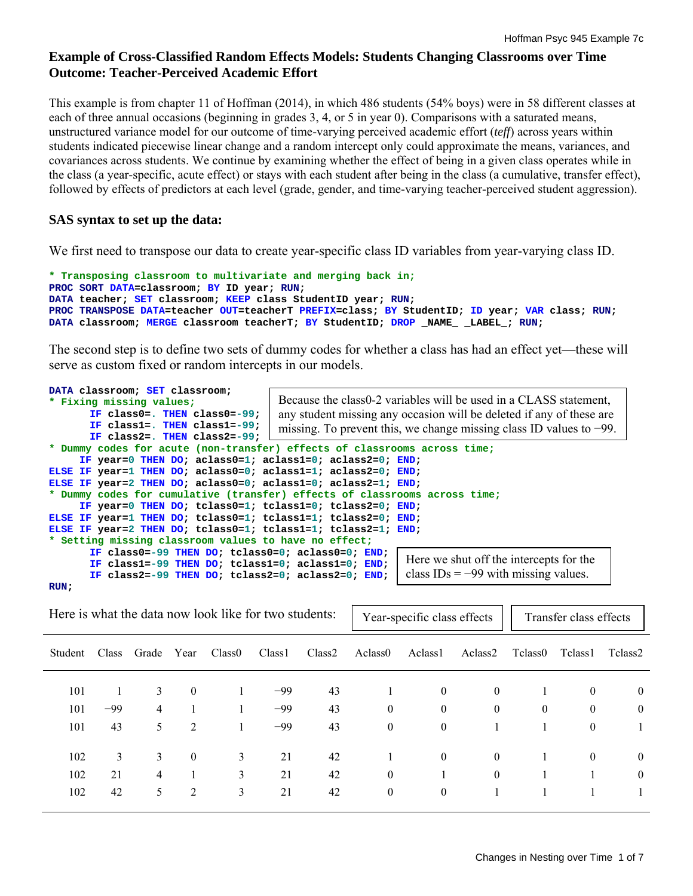# **Example of Cross-Classified Random Effects Models: Students Changing Classrooms over Time Outcome: Teacher-Perceived Academic Effort**

This example is from chapter 11 of Hoffman (2014), in which 486 students (54% boys) were in 58 different classes at each of three annual occasions (beginning in grades 3, 4, or 5 in year 0). Comparisons with a saturated means, unstructured variance model for our outcome of time-varying perceived academic effort (*teff*) across years within students indicated piecewise linear change and a random intercept only could approximate the means, variances, and covariances across students. We continue by examining whether the effect of being in a given class operates while in the class (a year-specific, acute effect) or stays with each student after being in the class (a cumulative, transfer effect), followed by effects of predictors at each level (grade, gender, and time-varying teacher-perceived student aggression).

# **SAS syntax to set up the data:**

We first need to transpose our data to create year-specific class ID variables from year-varying class ID.

```
* Transposing classroom to multivariate and merging back in;
PROC SORT DATA=classroom; BY ID year; RUN; 
DATA teacher; SET classroom; KEEP class StudentID year; RUN; 
PROC TRANSPOSE DATA=teacher OUT=teacherT PREFIX=class; BY StudentID; ID year; VAR class; RUN; 
DATA classroom; MERGE classroom teacherT; BY StudentID; DROP _NAME __ LABEL ; RUN;
```
The second step is to define two sets of dummy codes for whether a class has had an effect yet—these will serve as custom fixed or random intercepts in our models.

| DATA classroom; SET classroom;                                |                                                                            |  |  |  |  |  |
|---------------------------------------------------------------|----------------------------------------------------------------------------|--|--|--|--|--|
| * Fixing missing values;                                      | Because the class0-2 variables will be used in a CLASS statement,          |  |  |  |  |  |
| IF class0=. THEN class0=-99;                                  | any student missing any occasion will be deleted if any of these are       |  |  |  |  |  |
| IF class1=. THEN class1=-99;                                  | missing. To prevent this, we change missing class ID values to $-99$ .     |  |  |  |  |  |
| IF class2=. THEN class2=-99;                                  |                                                                            |  |  |  |  |  |
|                                                               | * Dummy codes for acute (non-transfer) effects of classrooms across time;  |  |  |  |  |  |
| IF year=0 THEN DO; aclass0=1; aclass1=0; aclass2=0; END;      |                                                                            |  |  |  |  |  |
| ELSE IF year=1 THEN DO; aclass0=0; aclass1=1; aclass2=0; END; |                                                                            |  |  |  |  |  |
| ELSE IF year=2 THEN DO; aclass0=0; aclass1=0; aclass2=1; END; |                                                                            |  |  |  |  |  |
|                                                               | * Dummy codes for cumulative (transfer) effects of classrooms across time; |  |  |  |  |  |
| IF year=0 THEN DO; tclass0=1; tclass1=0; tclass2=0; END;      |                                                                            |  |  |  |  |  |
| ELSE IF year=1 THEN DO; tclass0=1; tclass1=1; tclass2=0; END; |                                                                            |  |  |  |  |  |
| ELSE IF year=2 THEN DO; tclass0=1; tclass1=1; tclass2=1; END; |                                                                            |  |  |  |  |  |
| * Setting missing classroom values to have no effect;         |                                                                            |  |  |  |  |  |
| IF class0=-99 THEN DO; tclass0=0; aclass0=0; END;             |                                                                            |  |  |  |  |  |
| IF class1=-99 THEN DO; tclass1=0; aclass1=0; END;             | Here we shut off the intercepts for the                                    |  |  |  |  |  |
| IF class2=-99 THEN DO; tclass2=0; aclass2=0; END;             | class $IDs = -99$ with missing values.                                     |  |  |  |  |  |
| RUN ;                                                         |                                                                            |  |  |  |  |  |

| Here is what the data now look like for two students: |       |       |                |                    | Year-specific class effects<br>Transfer class effects |        |                     |                     |                     |          |          |                |
|-------------------------------------------------------|-------|-------|----------------|--------------------|-------------------------------------------------------|--------|---------------------|---------------------|---------------------|----------|----------|----------------|
| <b>Student</b>                                        | Class | Grade | Year           | Class <sub>0</sub> | Class <sub>1</sub>                                    | Class2 | Aclass <sub>0</sub> | Aclass <sub>1</sub> | Aclass <sub>2</sub> | Tclass0  | Tclass1  | Tclass2        |
| 101                                                   |       | 3     | $\mathbf{0}$   |                    | $-99$                                                 | 43     |                     | $\theta$            | $\mathbf{0}$        |          | $\theta$ | $\overline{0}$ |
| 101                                                   | $-99$ | 4     |                |                    | $-99$                                                 | 43     | $\theta$            | $\theta$            | $\mathbf{0}$        | $\theta$ | $\theta$ | $\mathbf{0}$   |
| 101                                                   | 43    | 5     | 2              |                    | $-99$                                                 | 43     | $\theta$            | $\mathbf{0}$        |                     |          | $\theta$ |                |
| 102                                                   | 3     | 3     | $\mathbf{0}$   | 3                  | 21                                                    | 42     |                     | $\theta$            | $\mathbf{0}$        |          | $\theta$ | $\overline{0}$ |
| 102                                                   | 21    | 4     |                | 3                  | 21                                                    | 42     | $\theta$            |                     | $\mathbf{0}$        |          |          | $\overline{0}$ |
| 102                                                   | 42    | 5     | $\overline{2}$ | 3                  | 21                                                    | 42     | $\mathbf{0}$        | $\theta$            |                     |          |          |                |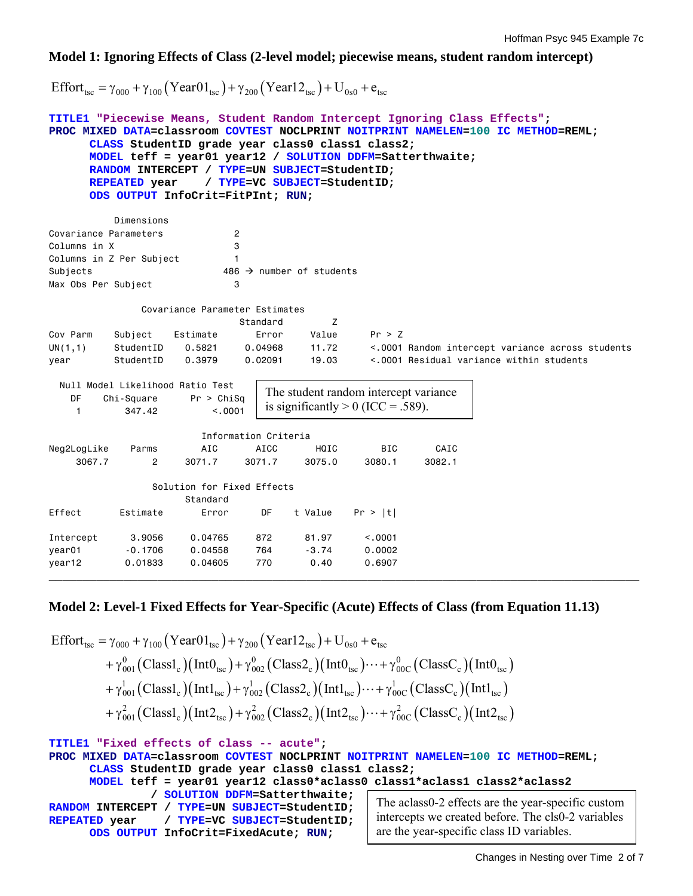### **Model 1: Ignoring Effects of Class (2-level model; piecewise means, student random intercept)**

Effort<sub>tsc</sub> =  $\gamma_{000} + \gamma_{100}$  (Year01<sub>tsc</sub>) +  $\gamma_{200}$  (Year12<sub>tsc</sub>) + U<sub>0s0</sub> + e<sub>tsc</sub>

```
TITLE1 "Piecewise Means, Student Random Intercept Ignoring Class Effects"; 
PROC MIXED DATA=classroom COVTEST NOCLPRINT NOITPRINT NAMELEN=100 IC METHOD=REML; 
     CLASS StudentID grade year class0 class1 class2; 
     MODEL teff = year01 year12 / SOLUTION DDFM=Satterthwaite; 
     RANDOM INTERCEPT / TYPE=UN SUBJECT=StudentID; 
     REPEATED year / TYPE=VC SUBJECT=StudentID; 
     ODS OUTPUT InfoCrit=FitPInt; RUN; 
          Dimensions 
Covariance Parameters 2 
Columns in X 3
Columns in Z Per Subject 1
Subjects 486 \rightarrow number of students
Max Obs Per Subject 3
              Covariance Parameter Estimates 
                            Standard Z 
Cov Parm Subject Estimate Error Value Pr > Z 
UN(1,1) StudentID 0.5821 0.04968 11.72 <.0001 Random intercept variance across students 
year StudentID 0.3979 0.02091 19.03 <.0001 Residual variance within students 
  Null Model Likelihood Ratio Test 
   DF Chi-Square Pr > ChiSq<br>1 347.42 <.0001
   1 347.42
                       Information Criteria 
Neg2LogLike Parms AIC AICC HQIC BIC CAIC
 3067.7 2 3071.7 3071.7 3075.0 3080.1 3082.1 
                Solution for Fixed Effects 
                    Standard 
Effect Estimate Error DF t Value Pr > |t| 
Intercept 3.9056 0.04765 872 81.97 <.0001 
year01 -0.1706 0.04558 764 -3.74 0.0002 
year12 0.01833 0.04605 770 0.40 0.6907 
                               The student random intercept variance 
                               is significantly > 0 (ICC = .589).
```
# **Model 2: Level-1 Fixed Effects for Year-Specific (Acute) Effects of Class (from Equation 11.13)**

**\_\_\_\_\_\_\_\_\_\_\_\_\_\_\_\_\_\_\_\_\_\_\_\_\_\_\_\_\_\_\_\_\_\_\_\_\_\_\_\_\_\_\_\_\_\_\_\_\_\_\_\_\_\_\_\_\_\_\_\_\_\_\_\_\_\_\_\_\_\_\_\_\_\_\_\_\_\_\_\_\_\_\_\_\_\_\_** 

$$
\begin{aligned}\n\text{Effort}_{\text{tsc}} &= \gamma_{000} + \gamma_{100} \left( \text{Year01}_{\text{tsc}} \right) + \gamma_{200} \left( \text{Year12}_{\text{tsc}} \right) + U_{0s0} + e_{\text{tsc}} \\
&\quad + \gamma_{001}^0 \left( \text{Class1}_c \right) \left( \text{Int0}_{\text{tsc}} \right) + \gamma_{002}^0 \left( \text{Class2}_c \right) \left( \text{Int0}_{\text{tsc}} \right) \cdots + \gamma_{00C}^0 \left( \text{ClassC}_c \right) \left( \text{Int0}_{\text{tsc}} \right) \\
&\quad + \gamma_{001}^1 \left( \text{Class1}_c \right) \left( \text{Int1}_{\text{tsc}} \right) + \gamma_{002}^1 \left( \text{Class2}_c \right) \left( \text{Int1}_{\text{tsc}} \right) \cdots + \gamma_{00C}^1 \left( \text{ClassC}_c \right) \left( \text{Int1}_{\text{tsc}} \right) \\
&\quad + \gamma_{001}^2 \left( \text{Class1}_c \right) \left( \text{Int2}_{\text{tsc}} \right) + \gamma_{002}^2 \left( \text{Class2}_c \right) \left( \text{Int2}_{\text{tsc}} \right) \cdots + \gamma_{00C}^2 \left( \text{ClassC}_c \right) \left( \text{Int2}_{\text{tsc}} \right) \\
&\quad \text{Tr} \text{TLE1} \text{ "Fixed effects of class -- acute"} \\
&\quad \text{PROC MIXED DATA= classroom COVTEST NOCIP RINT NOTIPRINT NAMELEN=100 IC METHOD=REML}; \\
&\quad \text{CLASS studentID grade year class0 class1 class2}; \\
&\quad \text{MODEL teff = year01 year12 class0 *aclass0 class1 *aclass1 class2 *aclass2} \\
&\quad \text{/ SOLUTION DDFM=Satterthwaite;}\n\end{aligned}
$$

```
RANDOM INTERCEPT / TYPE=UN SUBJECT=StudentID; 
REPEATED year / TYPE=VC SUBJECT=StudentID; 
      ODS OUTPUT InfoCrit=FixedAcute; RUN;
```
The aclass0-2 effects are the year-specific custom intercepts we created before. The cls0-2 variables are the year-specific class ID variables.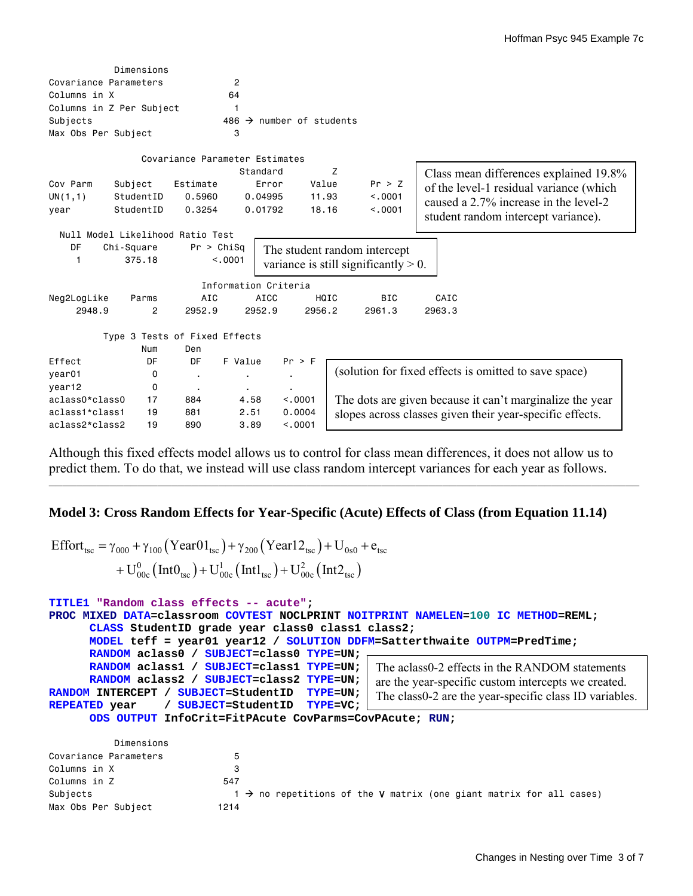|                       | Dimensions                       |                                |                |                                  |        |                                         |                                                          |
|-----------------------|----------------------------------|--------------------------------|----------------|----------------------------------|--------|-----------------------------------------|----------------------------------------------------------|
| Covariance Parameters |                                  |                                | $\overline{2}$ |                                  |        |                                         |                                                          |
| Columns in X          |                                  |                                | 64             |                                  |        |                                         |                                                          |
|                       | Columns in Z Per Subject         |                                | 1              |                                  |        |                                         |                                                          |
| Subjects              |                                  |                                | 486            | $\rightarrow$ number of students |        |                                         |                                                          |
| Max Obs Per Subject   |                                  |                                | 3              |                                  |        |                                         |                                                          |
|                       |                                  | Covariance Parameter Estimates |                |                                  |        |                                         |                                                          |
|                       |                                  |                                |                | Standard                         | Z      |                                         | Class mean differences explained 19.8%                   |
| Cov Parm              | Subject                          | Estimate                       |                | Error                            | Value  | Pr > Z                                  |                                                          |
| UN(1,1)               | StudentID                        | 0.5960                         |                | 0.04995                          | 11.93  | < 0.001                                 | of the level-1 residual variance (which                  |
| year                  | StudentID                        | 0.3254                         |                | 0.01792                          | 18.16  | < 0.001                                 | caused a 2.7% increase in the level-2                    |
|                       |                                  |                                |                |                                  |        |                                         | student random intercept variance).                      |
|                       | Null Model Likelihood Ratio Test |                                |                |                                  |        |                                         |                                                          |
| DF                    | Chi-Square                       | Pr > Chisq                     |                |                                  |        | The student random intercept            |                                                          |
| 1                     | 375.18                           |                                | < 0.001        |                                  |        | variance is still significantly $> 0$ . |                                                          |
|                       |                                  |                                |                |                                  |        |                                         |                                                          |
|                       |                                  |                                |                | Information Criteria             |        |                                         |                                                          |
| Neg2LogLike           | Parms                            | AIC                            |                | AICC                             | HQIC   | <b>BIC</b>                              | CAIC                                                     |
| 2948.9                | 2                                | 2952.9                         |                | 2952.9                           | 2956.2 | 2961.3                                  | 2963.3                                                   |
|                       |                                  |                                |                |                                  |        |                                         |                                                          |
|                       | Type 3 Tests of Fixed Effects    |                                |                |                                  |        |                                         |                                                          |
|                       | Num                              | Den                            |                |                                  |        |                                         |                                                          |
| Effect                | DF                               | DF                             | F Value        | Pr > F                           |        |                                         |                                                          |
| year01                | 0                                | $\blacksquare$                 | ٠              | $\blacksquare$                   |        |                                         | (solution for fixed effects is omitted to save space)    |
| year12                | 0                                | $\blacksquare$                 | $\blacksquare$ | $\blacksquare$                   |        |                                         |                                                          |
| aclass0*class0        | 17                               | 884                            | 4.58           | < .0001                          |        |                                         | The dots are given because it can't marginalize the year |
| aclass1*class1        | 19                               | 881                            | 2.51           | 0.0004                           |        |                                         | slopes across classes given their year-specific effects. |
| aclass2*class2        | 19                               | 890                            | 3.89           | < 0.001                          |        |                                         |                                                          |

Although this fixed effects model allows us to control for class mean differences, it does not allow us to predict them. To do that, we instead will use class random intercept variances for each year as follows.

**\_\_\_\_\_\_\_\_\_\_\_\_\_\_\_\_\_\_\_\_\_\_\_\_\_\_\_\_\_\_\_\_\_\_\_\_\_\_\_\_\_\_\_\_\_\_\_\_\_\_\_\_\_\_\_\_\_\_\_\_\_\_\_\_\_\_\_\_\_\_\_\_\_\_\_\_\_\_\_\_\_\_\_\_\_\_\_**

# **Model 3: Cross Random Effects for Year-Specific (Acute) Effects of Class (from Equation 11.14)**

$$
\begin{aligned} \text{Effort}_{\text{tsc}} &= \gamma_{000} + \gamma_{100} \left( \text{Year01}_{\text{tsc}} \right) + \gamma_{200} \left( \text{Year12}_{\text{tsc}} \right) + \text{U}_{0s0} + \text{e}_{\text{tsc}} \\ &+ \text{U}_{00c}^{0} \left( \text{Int0}_{\text{tsc}} \right) + \text{U}_{00c}^{1} \left( \text{Int1}_{\text{tsc}} \right) + \text{U}_{00c}^{2} \left( \text{Int2}_{\text{tsc}} \right) \end{aligned}
$$

```
TITLE1 "Random class effects -- acute"; 
PROC MIXED DATA=classroom COVTEST NOCLPRINT NOITPRINT NAMELEN=100 IC METHOD=REML; 
      CLASS StudentID grade year class0 class1 class2; 
      MODEL teff = year01 year12 / SOLUTION DDFM=Satterthwaite OUTPM=PredTime; 
      RANDOM aclass0 / SUBJECT=class0 TYPE=UN; 
      RANDOM aclass1 / SUBJECT=class1 TYPE=UN; 
      RANDOM aclass2 / SUBJECT=class2 TYPE=UN; 
RANDOM INTERCEPT / SUBJECT=StudentID TYPE=UN; 
REPEATED year / SUBJECT=StudentID TYPE=VC; 
      ODS OUTPUT InfoCrit=FitPAcute CovParms=CovPAcute; RUN; 
                                                    The aclass0-2 effects in the RANDOM statements 
                                                    are the year-specific custom intercepts we created. 
                                                   The class0-2 are the year-specific class ID variables.
```

|                       | Dimensions |                                                                                 |
|-----------------------|------------|---------------------------------------------------------------------------------|
| Covariance Parameters |            |                                                                                 |
| Columns in X          | з          |                                                                                 |
| Columns in Z          | 547        |                                                                                 |
| Subjects              |            | $1 \rightarrow$ no repetitions of the V matrix (one giant matrix for all cases) |
| Max Obs Per Subject   | 1214       |                                                                                 |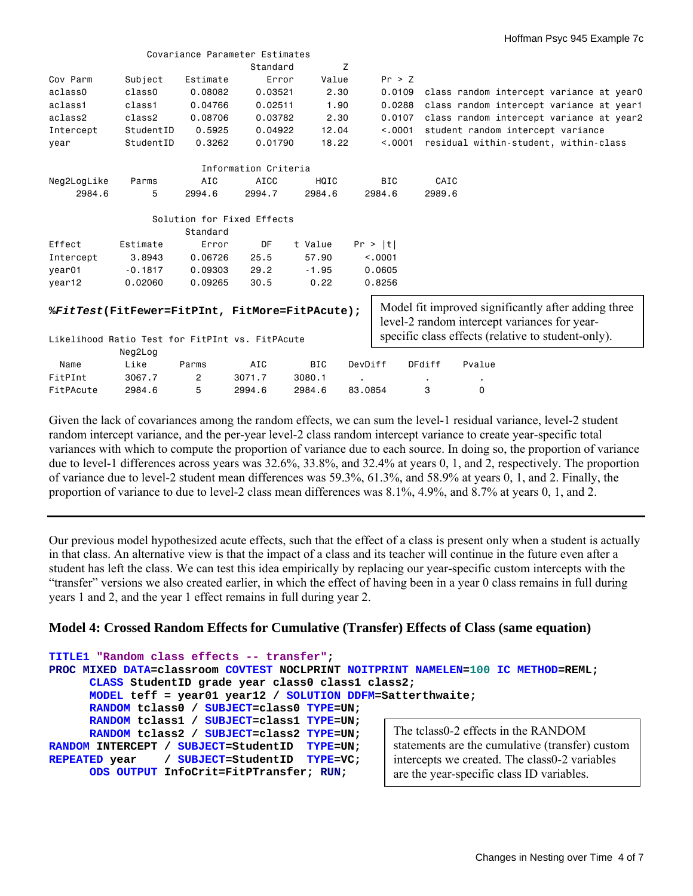|                                                                                                                                                       |           |          | Covariance Parameter Estimates |            |            |                |                                                    |
|-------------------------------------------------------------------------------------------------------------------------------------------------------|-----------|----------|--------------------------------|------------|------------|----------------|----------------------------------------------------|
|                                                                                                                                                       |           |          | Standard                       | Z          |            |                |                                                    |
| Cov Parm                                                                                                                                              | Subject   | Estimate | Error                          | Value      | Pr > Z     |                |                                                    |
| aclass0                                                                                                                                               | class0    | 0.08082  | 0.03521                        | 2.30       | 0.0109     |                | class random intercept variance at year0           |
| aclass1                                                                                                                                               | class1    | 0.04766  | 0.02511                        | 1.90       | 0.0288     |                | class random intercept variance at year1           |
| aclass2                                                                                                                                               | class2    | 0.08706  | 0.03782                        | 2.30       | 0.0107     |                | class random intercept variance at year2           |
| Intercept                                                                                                                                             | StudentID | 0.5925   | 0.04922                        | 12.04      | < 0.001    |                | student random intercept variance                  |
| year                                                                                                                                                  | StudentID | 0.3262   | 0.01790                        | 18.22      | < 0.0001   |                | residual within-student, within-class              |
|                                                                                                                                                       |           |          | Information Criteria           |            |            |                |                                                    |
| Neg2LogLike                                                                                                                                           | Parms     | AIC      | AICC                           | HQIC       | <b>BIC</b> | CAIC           |                                                    |
| 2984.6                                                                                                                                                | 5         | 2994.6   | 2994.7                         | 2984.6     | 2984.6     | 2989.6         |                                                    |
|                                                                                                                                                       |           |          | Solution for Fixed Effects     |            |            |                |                                                    |
|                                                                                                                                                       |           | Standard |                                |            |            |                |                                                    |
| Effect                                                                                                                                                | Estimate  | Error    | DF                             | t Value    | Pr >  t    |                |                                                    |
| Intercept                                                                                                                                             | 3.8943    | 0.06726  | 25.5                           | 57.90      | < 0.001    |                |                                                    |
| year <sub>01</sub>                                                                                                                                    | $-0.1817$ | 0.09303  | 29.2                           | $-1.95$    | 0.0605     |                |                                                    |
| year12                                                                                                                                                | 0.02060   | 0.09265  | 30.5                           | 0.22       | 0.8256     |                |                                                    |
| Model fit improved significantly after adding three<br>%FitTest(FitFewer=FitPInt, FitMore=FitPAcute);<br>level-2 random intercept variances for year- |           |          |                                |            |            |                |                                                    |
| Likelihood Ratio Test for FitPInt vs. FitPAcute                                                                                                       |           |          |                                |            |            |                | specific class effects (relative to student-only). |
|                                                                                                                                                       | Neg2Log   |          |                                |            |            |                |                                                    |
| Name                                                                                                                                                  | Like      | Parms    | AIC                            | <b>BIC</b> | DevDiff    | DFdiff         | Pvalue                                             |
| FitPInt                                                                                                                                               | 3067.7    | 2        | 3071.7                         | 3080.1     |            | $\blacksquare$ |                                                    |
| FitPAcute                                                                                                                                             | 2984.6    | 5        | 2994.6                         | 2984.6     | 83,0854    | 3              | 0                                                  |

Given the lack of covariances among the random effects, we can sum the level-1 residual variance, level-2 student random intercept variance, and the per-year level-2 class random intercept variance to create year-specific total variances with which to compute the proportion of variance due to each source. In doing so, the proportion of variance due to level-1 differences across years was 32.6%, 33.8%, and 32.4% at years 0, 1, and 2, respectively. The proportion of variance due to level-2 student mean differences was 59.3%, 61.3%, and 58.9% at years 0, 1, and 2. Finally, the proportion of variance to due to level-2 class mean differences was 8.1%, 4.9%, and 8.7% at years 0, 1, and 2.

Our previous model hypothesized acute effects, such that the effect of a class is present only when a student is actually in that class. An alternative view is that the impact of a class and its teacher will continue in the future even after a student has left the class. We can test this idea empirically by replacing our year-specific custom intercepts with the "transfer" versions we also created earlier, in which the effect of having been in a year 0 class remains in full during years 1 and 2, and the year 1 effect remains in full during year 2.

# **Model 4: Crossed Random Effects for Cumulative (Transfer) Effects of Class (same equation)**

```
TITLE1 "Random class effects -- transfer"; 
PROC MIXED DATA=classroom COVTEST NOCLPRINT NOITPRINT NAMELEN=100 IC METHOD=REML; 
      CLASS StudentID grade year class0 class1 class2; 
      MODEL teff = year01 year12 / SOLUTION DDFM=Satterthwaite; 
      RANDOM tclass0 / SUBJECT=class0 TYPE=UN; 
      RANDOM tclass1 / SUBJECT=class1 TYPE=UN; 
      RANDOM tclass2 / SUBJECT=class2 TYPE=UN; 
RANDOM INTERCEPT / SUBJECT=StudentID TYPE=UN; 
REPEATED year / SUBJECT=StudentID TYPE=VC; 
      ODS OUTPUT InfoCrit=FitPTransfer; RUN; 
                                                       The tclass0-2 effects in the RANDOM 
                                                       statements are the cumulative (transfer) custom 
                                                       intercepts we created. The class0-2 variables 
                                                       are the year-specific class ID variables.
```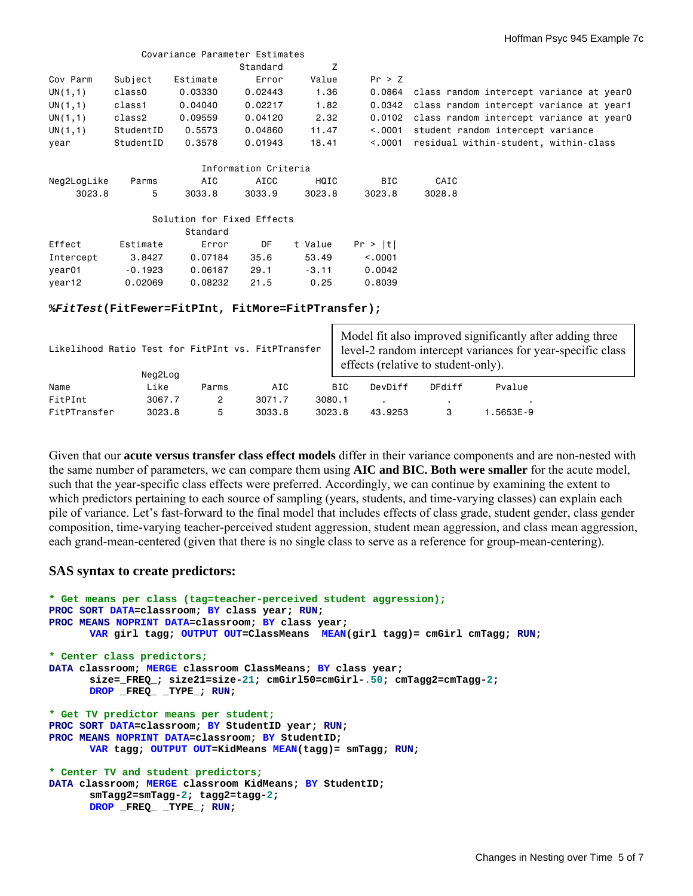|             |                                                   | Covariance Parameter Estimates |                      |         |            |                                                 |  |  |
|-------------|---------------------------------------------------|--------------------------------|----------------------|---------|------------|-------------------------------------------------|--|--|
|             |                                                   |                                | Standard             | Z       |            |                                                 |  |  |
| Cov Parm    | Subject                                           | Estimate                       | Error                | Value   | Pr > Z     |                                                 |  |  |
| UN(1,1)     | class0                                            | 0.03330                        | 0.02443              | 1.36    |            | 0.0864 class random intercept variance at year0 |  |  |
| UN(1,1)     | class1                                            | 0.04040                        | 0.02217              | 1.82    |            | 0.0342 class random intercept variance at year1 |  |  |
| UN(1,1)     | class2                                            | 0.09559                        | 0.04120              | 2.32    | 0.0102     | class random intercept variance at year0        |  |  |
| UN(1,1)     | StudentID                                         | 0.5573                         | 0.04860              | 11.47   | < 0.001    | student random intercept variance               |  |  |
| year        | StudentID                                         | 0.3578                         | 0.01943              | 18.41   |            |                                                 |  |  |
|             |                                                   |                                | Information Criteria |         |            |                                                 |  |  |
| Neg2LogLike | Parms                                             | AIC                            | AICC                 | HQIC    | <b>BIC</b> | CAIC                                            |  |  |
| 3023.8      | 5                                                 | 3033.8                         | 3033.9               | 3023.8  | 3023.8     | 3028.8                                          |  |  |
|             |                                                   | Solution for Fixed Effects     |                      |         |            |                                                 |  |  |
|             |                                                   | Standard                       |                      |         |            |                                                 |  |  |
| Effect      | Estimate                                          | Error                          | DF                   | t Value | Pr >  t    |                                                 |  |  |
| Intercept   | 3.8427                                            | 0.07184                        | 35.6                 | 53.49   | < 0.001    |                                                 |  |  |
| year01      | $-0.1923$                                         | 0.06187                        | 29.1                 | $-3.11$ | 0.0042     |                                                 |  |  |
| year12      | 0.02069                                           | 0.08232                        | 21.5                 | 0.25    | 0.8039     |                                                 |  |  |
|             | %FitTest(FitFewer=FitPInt, FitMore=FitPTransfer); |                                |                      |         |            |                                                 |  |  |

| Likelihood Ratio Test for FitPInt vs. FitPTransfer<br>Neg2Log |  |        |                | Model fit also improved significantly after adding three<br>level-2 random intercept variances for year-specific class<br>effects (relative to student-only). |        |      |         |        |           |  |
|---------------------------------------------------------------|--|--------|----------------|---------------------------------------------------------------------------------------------------------------------------------------------------------------|--------|------|---------|--------|-----------|--|
| Name                                                          |  | Like   | Parms          | AIC                                                                                                                                                           |        | BIC. | DevDiff | DFdiff | Pvalue    |  |
| FitPInt                                                       |  | 3067.7 | $\overline{2}$ | 3071.7                                                                                                                                                        | 3080.1 |      |         |        |           |  |
| FitPTransfer                                                  |  | 3023.8 | 5              | 3033.8                                                                                                                                                        | 3023.8 |      | 43.9253 |        | l.5653E-9 |  |

Given that our **acute versus transfer class effect models** differ in their variance components and are non-nested with the same number of parameters, we can compare them using **AIC and BIC. Both were smaller** for the acute model, such that the year-specific class effects were preferred. Accordingly, we can continue by examining the extent to which predictors pertaining to each source of sampling (years, students, and time-varying classes) can explain each pile of variance. Let's fast-forward to the final model that includes effects of class grade, student gender, class gender composition, time-varying teacher-perceived student aggression, student mean aggression, and class mean aggression, each grand-mean-centered (given that there is no single class to serve as a reference for group-mean-centering).

### **SAS syntax to create predictors:**

```
* Get means per class (tag=teacher-perceived student aggression);
PROC SORT DATA=classroom; BY class year; RUN;
PROC MEANS NOPRINT DATA=classroom; BY class year; 
      VAR girl tagg; OUTPUT OUT=ClassMeans MEAN(girl tagg)= cmGirl cmTagg; RUN; 
* Center class predictors;
DATA classroom; MERGE classroom ClassMeans; BY class year; 
        size=_FREQ_; size21=size-21; cmGirl50=cmGirl-.50; cmTagg2=cmTagg-2; 
      DROP _FREQ_ _TYPE_; RUN; 
* Get TV predictor means per student; 
PROC SORT DATA=classroom; BY StudentID year; RUN; 
PROC MEANS NOPRINT DATA=classroom; BY StudentID; 
      VAR tagg; OUTPUT OUT=KidMeans MEAN(tagg)= smTagg; RUN; 
* Center TV and student predictors;
DATA classroom; MERGE classroom KidMeans; BY StudentID; 
        smTagg2=smTagg-2; tagg2=tagg-2; 
      DROP _FREQ_ _TYPE_; RUN;
```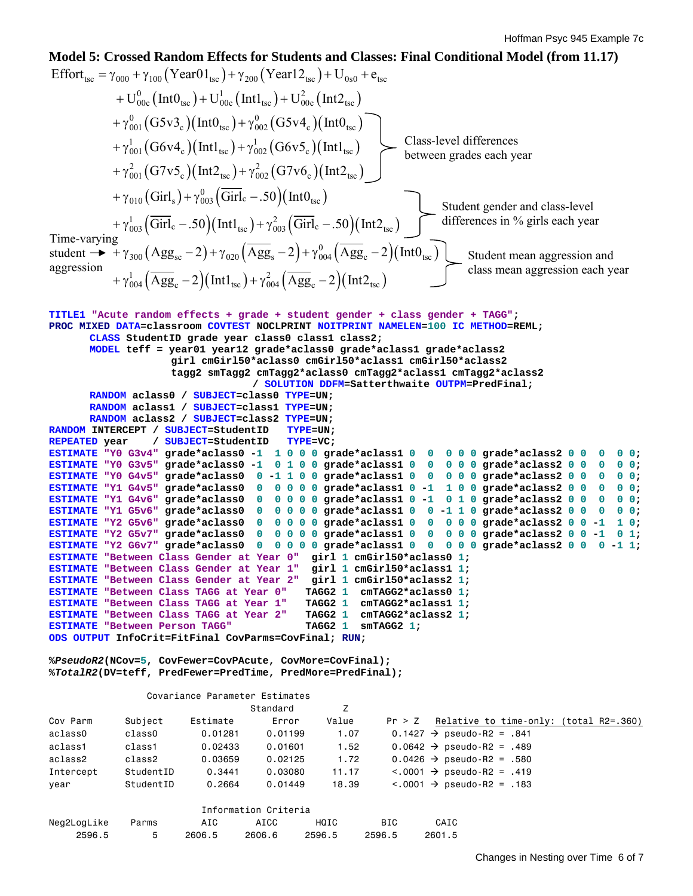#### Time-varying student  $\rightarrow$  +  $\gamma_{300}$  (Agg<sub>sc</sub> - 2) +  $\gamma_{020}$  (Agg<sub>s</sub> - 2) +  $\gamma_{004}^{0}$  (Agg<sub>c</sub> - 2) (IntO<sub>tsc</sub>) aggression **Model 5: Crossed Random Effects for Students and Classes: Final Conditional Model (from 11.17)**  Effort<sub>tsc</sub> =  $\gamma_{000} + \gamma_{100}$  (Year01<sub>tsc</sub>) +  $\gamma_{200}$  (Year12<sub>tsc</sub>) + U<sub>0s0</sub> + e<sub>tsc</sub>  $^{0}_{00c}$  (IntO<sub>tsc</sub>) + U<sub>00c</sub> (Int1<sub>tsc</sub>) + U<sub>00c</sub> (Int2<sub>tsc</sub>)  $^{0}_{001}$  (G5v3<sub>c</sub>)(Int0<sub>tsc</sub>) +  $\gamma^{0}_{002}$  (G5v4<sub>c</sub>)(Int0<sub>tsc</sub>)  $\frac{1}{001}$  (G6v4<sub>c</sub>)(Int1<sub>tsc</sub>)  $+ \mathrm{U}_{00\mathrm{c}}^0 \left( \mathrm{Int} \mathrm{0}_{\mathrm{tsc}} \right) \! + \mathrm{U}_{00\mathrm{c}}^1 \left( \mathrm{Int} \mathrm{1}_{\mathrm{tsc}} \right) \! + \mathrm{U}_{00\mathrm{c}}^2 \left( \mathrm{Int} \mathrm{2}_{\mathrm{tsc}} \right)$  $+\gamma_{001}^{0} (G5v3_{c}) (Int0_{tsc}) + \gamma_{002}^{0} (G5v4_{c}) (Int0_{tsc})$  $+\gamma_{001}^1 (G6v4_c)(\mathrm{Int1_{tsc}})+\gamma_{002}^1 (G6v5_c)(\mathrm{Int1_{tsc}})$  $^{2}_{001}$ (G7v5<sub>c</sub>)(Int2<sub>tsc</sub>)+ $\gamma^{2}_{002}$ (G7v6<sub>c</sub>)(Int2<sub>tsc</sub>)  $+\gamma_{010}$  (Girl<sub>s</sub>) +  $\gamma_{003}^{0}$  (Girl<sub>c</sub> - .50) (IntO<sub>tsc</sub>)  $+\gamma_{003}^{1}(\overline{\rm Girl}_{\rm c}-.50)(\rm{Intl}_{\rm{tsc}})+\gamma_{003}^{2}(\overline{\rm Girl}_{\rm c}-.50)(\rm{Int2}_{\rm{tsc}})$  $_{02}$  (G6v5<sub>c</sub>)(Int1<sub>tsc</sub>  $+\gamma_{001}^2(G7v5_c)(\text{Int2}_{\text{tsc}})+\gamma_{002}^2(G7v6_c)(\text{Int2}_{\text{tsc}})$  $\frac{1}{004} \left( \overline{\text{Agg}}_{\text{c}} - 2 \right) \left( \text{Int1}_{\text{tsc}} \right) + \gamma_{004}^2 \left( \overline{\text{Agg}}_{\text{c}} - 2 \right) \left( \text{Int2}_{\text{tsc}} \right)$  $\rm{Agg}_{sc}$  – 2) +  $\gamma_{020}$   $\rm{ (Agg}_{s}$  – 2) +  $\gamma_{004}^{0}$   $\rm{ (Agg}_{c}$  – 2) $\rm{ (Int0_{tsc}$  $+ \gamma_{004}^1 (Agg_c - 2) (Int1_{tsc}) + \gamma_{004}^2 (Agg_c - 2) (Int2_{tsc})$ **TITLE1 "Acute random effects + grade + student gender + class gender + TAGG"; PROC MIXED DATA=classroom COVTEST NOCLPRINT NOITPRINT NAMELEN=100 IC METHOD=REML; CLASS StudentID grade year class0 class1 class2; MODEL teff = year01 year12 grade\*aclass0 grade\*aclass1 grade\*aclass2 girl cmGirl50\*aclass0 cmGirl50\*aclass1 cmGirl50\*aclass2 tagg2 smTagg2 cmTagg2\*aclass0 cmTagg2\*aclass1 cmTagg2\*aclass2 / SOLUTION DDFM=Satterthwaite OUTPM=PredFinal; RANDOM aclass0 / SUBJECT=class0 TYPE=UN; RANDOM aclass1 / SUBJECT=class1 TYPE=UN; RANDOM aclass2 / SUBJECT=class2 TYPE=UN; RANDOM INTERCEPT / SUBJECT=StudentID TYPE=UN; REPEATED year / SUBJECT=StudentID TYPE=VC; ESTIMATE "Y0 G3v4" grade\*aclass0 -1 1 0 0 0 grade\*aclass1 0 0 0 0 0 grade\*aclass2 0 0 0 0 0; ESTIMATE "Y0 G3v5" grade\*aclass0 -1 0 1 0 0 grade\*aclass1 0 0 0 0 0 grade\*aclass2 0 0 0 0 0; ESTIMATE "Y0 G4v5" grade\*aclass0 0 -1 1 0 0 grade\*aclass1 0 0 0 0 0 grade\*aclass2 0 0 0 0 0; ESTIMATE "Y1 G4v5" grade\*aclass0 0 0 0 0 0 grade\*aclass1 0 -1 1 0 0 grade\*aclass2 0 0 0 0 0; ESTIMATE "Y1 G4v6" grade\*aclass0 0 0 0 0 0 grade\*aclass1 0 -1 0 1 0 grade\*aclass2 0 0 0 0 0; ESTIMATE "Y1 G5v6" grade\*aclass0 0 0 0 0 0 grade\*aclass1 0 0 -1 1 0 grade\*aclass2 0 0 0 0 0; ESTIMATE "Y2 G5v6" grade\*aclass0 0 0 0 0 0 grade\*aclass1 0 0 0 0 0 grade\*aclass2 0 0 -1 1 0; ESTIMATE "Y2 G5v7" grade\*aclass0 0 0 0 0 0 grade\*aclass1 0 0 0 0 0 grade\*aclass2 0 0 -1 0 1; ESTIMATE "Y2 G6v7" grade\*aclass0 0 0 0 0 0 grade\*aclass1 0 0 0 0 0 grade\*aclass2 0 0 0 -1 1; ESTIMATE "Between Class Gender at Year 0" girl 1 cmGirl50\*aclass0 1; ESTIMATE "Between Class Gender at Year 1" girl 1 cmGirl50\*aclass1 1; ESTIMATE "Between Class Gender at Year 2" girl 1 cmGirl50\*aclass2 1; ESTIMATE "Between Class TAGG at Year 0" TAGG2 1 cmTAGG2\*aclass0 1; ESTIMATE "Between Class TAGG at Year 1" TAGG2 1 cmTAGG2\*aclass1 1; ESTIMATE "Between Class TAGG at Year 2" TAGG2 1 cmTAGG2\*aclass2 1; ESTIMATE "Between Person TAGG" TAGG2 1 smTAGG2 1; ODS OUTPUT InfoCrit=FitFinal CovParms=CovFinal; RUN; %***PseudoR2***(NCov=5, CovFewer=CovPAcute, CovMore=CovFinal); %***TotalR2***(DV=teff, PredFewer=PredTime, PredMore=PredFinal);**  Covariance Parameter Estimates extended the Standard  $\overline{z}$ Cov Parm Subject Estimate Error Value Pr > Z Relative to time-only: (total R2=.360) aclass0 class0 0.01281 0.01199 1.07 0.1427  $\rightarrow$  pseudo-R2 = .841 aclass1 class1 0.02433 0.01601 1.52 0.0642  $\rightarrow$  pseudo-R2 = .489 aclass2 class2 0.03659 0.02125 1.72 0.0426  $\rightarrow$  pseudo-R2 = .580 Intercept StudentID  $0.3441$   $0.03080$   $11.17$   $< .0001$   $\rightarrow$  pseudo-R2 = .419 year StudentID  $0.2664$   $0.01449$   $18.39$   $< .0001$   $\rightarrow$  pseudo-R2 = .183 Information Criteria Class-level differences between grades each year Student gender and class-level differences in % girls each year Student mean aggression and class mean aggression each year

Neg2LogLike Parms AIC AICC HQIC BIC CAIC